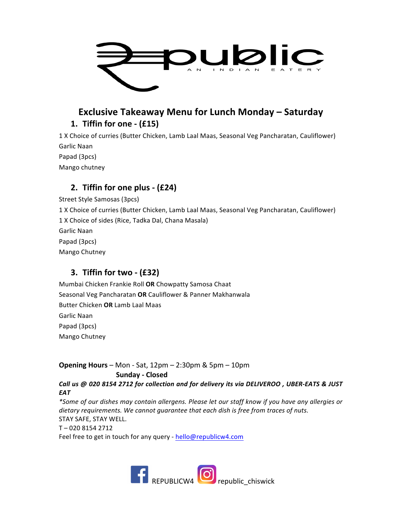

# **Exclusive Takeaway Menu for Lunch Monday – Saturday 1. Tiffin for one - (£15)**

1 X Choice of curries (Butter Chicken, Lamb Laal Maas, Seasonal Veg Pancharatan, Cauliflower) Garlic Naan 

Papad (3pcs)

Mango chutney

## **2. Tiffin for one plus - (£24)**

Street Style Samosas (3pcs) 1 X Choice of curries (Butter Chicken, Lamb Laal Maas, Seasonal Veg Pancharatan, Cauliflower) 1 X Choice of sides (Rice, Tadka Dal, Chana Masala) Garlic Naan Papad (3pcs) Mango Chutney

### **3. Tiffin for two - (£32)**

Mumbai Chicken Frankie Roll OR Chowpatty Samosa Chaat Seasonal Veg Pancharatan OR Cauliflower & Panner Makhanwala Butter Chicken **OR** Lamb Laal Maas Garlic Naan Papad (3pcs) Mango Chutney

**Opening Hours** – Mon - Sat, 12pm – 2:30pm & 5pm – 10pm **Sunday - Closed** *Call us @ 020 8154 2712 for collection and for delivery its via DELIVEROO , UBER-EATS & JUST* 

*EAT* \*Some of our dishes may contain allergens. Please let our staff know if you have any allergies or dietary requirements. We cannot guarantee that each dish is free from traces of nuts. STAY SAFE, STAY WELL. T – 020 8154 2712 Feel free to get in touch for any query - hello@republicw4.com